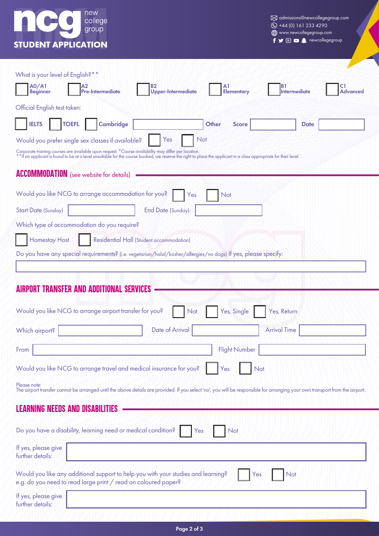